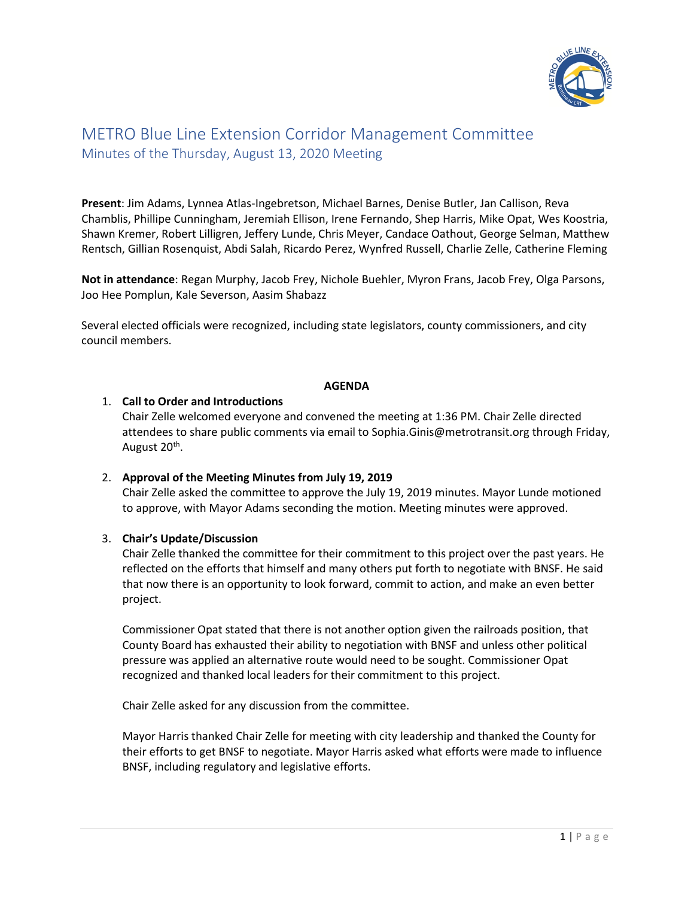

# METRO Blue Line Extension Corridor Management Committee Minutes of the Thursday, August 13, 2020 Meeting

**Present**: Jim Adams, Lynnea Atlas-Ingebretson, Michael Barnes, Denise Butler, Jan Callison, Reva Chamblis, Phillipe Cunningham, Jeremiah Ellison, Irene Fernando, Shep Harris, Mike Opat, Wes Koostria, Shawn Kremer, Robert Lilligren, Jeffery Lunde, Chris Meyer, Candace Oathout, George Selman, Matthew Rentsch, Gillian Rosenquist, Abdi Salah, Ricardo Perez, Wynfred Russell, Charlie Zelle, Catherine Fleming

**Not in attendance**: Regan Murphy, Jacob Frey, Nichole Buehler, Myron Frans, Jacob Frey, Olga Parsons, Joo Hee Pomplun, Kale Severson, Aasim Shabazz

Several elected officials were recognized, including state legislators, county commissioners, and city council members.

#### **AGENDA**

#### 1. **Call to Order and Introductions**

Chair Zelle welcomed everyone and convened the meeting at 1:36 PM. Chair Zelle directed attendees to share public comments via email to Sophia.Ginis@metrotransit.org through Friday, August 20<sup>th</sup>.

### 2. **Approval of the Meeting Minutes from July 19, 2019**

Chair Zelle asked the committee to approve the July 19, 2019 minutes. Mayor Lunde motioned to approve, with Mayor Adams seconding the motion. Meeting minutes were approved.

### 3. **Chair's Update/Discussion**

Chair Zelle thanked the committee for their commitment to this project over the past years. He reflected on the efforts that himself and many others put forth to negotiate with BNSF. He said that now there is an opportunity to look forward, commit to action, and make an even better project.

Commissioner Opat stated that there is not another option given the railroads position, that County Board has exhausted their ability to negotiation with BNSF and unless other political pressure was applied an alternative route would need to be sought. Commissioner Opat recognized and thanked local leaders for their commitment to this project.

Chair Zelle asked for any discussion from the committee.

Mayor Harris thanked Chair Zelle for meeting with city leadership and thanked the County for their efforts to get BNSF to negotiate. Mayor Harris asked what efforts were made to influence BNSF, including regulatory and legislative efforts.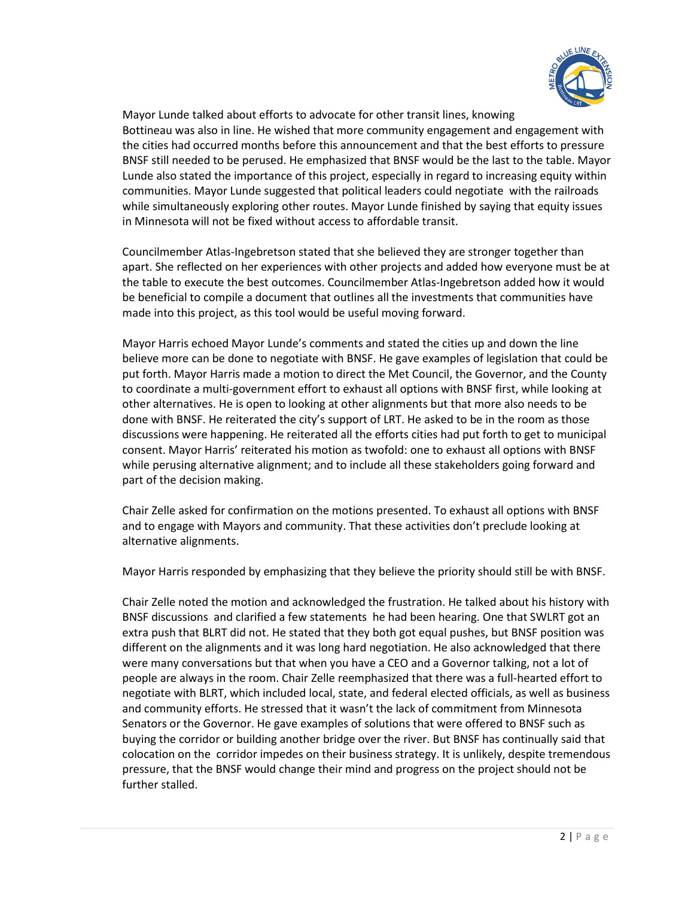

Mayor Lunde talked about efforts to advocate for other transit lines, knowing Bottineau was also in line. He wished that more community engagement and engagement with the cities had occurred months before this announcement and that the best efforts to pressure BNSF still needed to be perused. He emphasized that BNSF would be the last to the table. Mayor Lunde also stated the importance of this project, especially in regard to increasing equity within communities. Mayor Lunde suggested that political leaders could negotiate with the railroads while simultaneously exploring other routes. Mayor Lunde finished by saying that equity issues in Minnesota will not be fixed without access to affordable transit.

Councilmember Atlas-Ingebretson stated that she believed they are stronger together than apart. She reflected on her experiences with other projects and added how everyone must be at the table to execute the best outcomes. Councilmember Atlas-Ingebretson added how it would be beneficial to compile a document that outlines all the investments that communities have made into this project, as this tool would be useful moving forward.

Mayor Harris echoed Mayor Lunde's comments and stated the cities up and down the line believe more can be done to negotiate with BNSF. He gave examples of legislation that could be put forth. Mayor Harris made a motion to direct the Met Council, the Governor, and the County to coordinate a multi-government effort to exhaust all options with BNSF first, while looking at other alternatives. He is open to looking at other alignments but that more also needs to be done with BNSF. He reiterated the city's support of LRT. He asked to be in the room as those discussions were happening. He reiterated all the efforts cities had put forth to get to municipal consent. Mayor Harris' reiterated his motion as twofold: one to exhaust all options with BNSF while perusing alternative alignment; and to include all these stakeholders going forward and part of the decision making.

Chair Zelle asked for confirmation on the motions presented. To exhaust all options with BNSF and to engage with Mayors and community. That these activities don't preclude looking at alternative alignments.

Mayor Harris responded by emphasizing that they believe the priority should still be with BNSF.

Chair Zelle noted the motion and acknowledged the frustration. He talked about his history with BNSF discussions and clarified a few statements he had been hearing. One that SWLRT got an extra push that BLRT did not. He stated that they both got equal pushes, but BNSF position was different on the alignments and it was long hard negotiation. He also acknowledged that there were many conversations but that when you have a CEO and a Governor talking, not a lot of people are always in the room. Chair Zelle reemphasized that there was a full-hearted effort to negotiate with BLRT, which included local, state, and federal elected officials, as well as business and community efforts. He stressed that it wasn't the lack of commitment from Minnesota Senators or the Governor. He gave examples of solutions that were offered to BNSF such as buying the corridor or building another bridge over the river. But BNSF has continually said that colocation on the corridor impedes on their business strategy. It is unlikely, despite tremendous pressure, that the BNSF would change their mind and progress on the project should not be further stalled.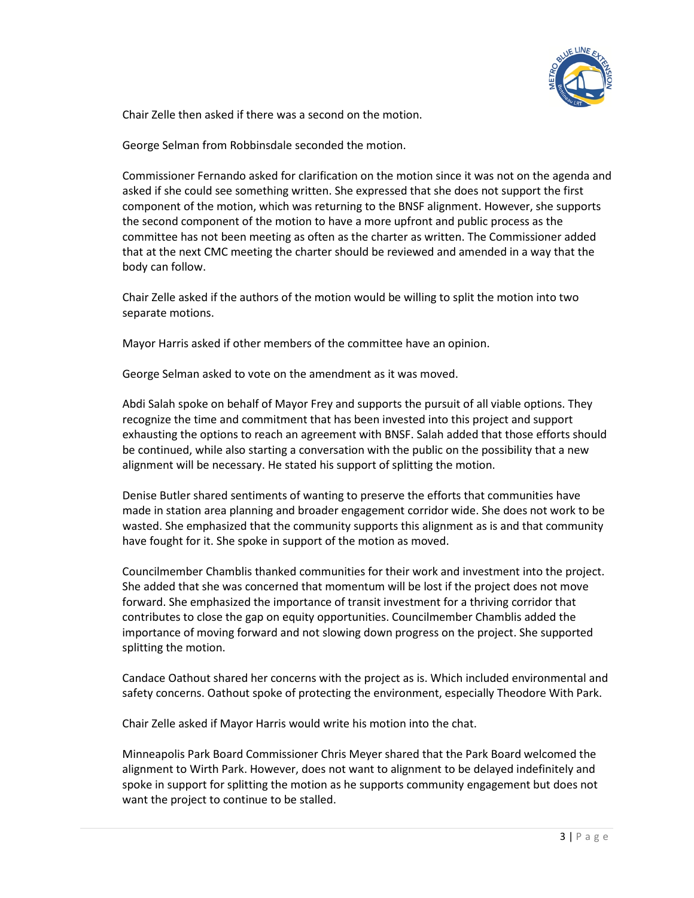

Chair Zelle then asked if there was a second on the motion.

George Selman from Robbinsdale seconded the motion.

Commissioner Fernando asked for clarification on the motion since it was not on the agenda and asked if she could see something written. She expressed that she does not support the first component of the motion, which was returning to the BNSF alignment. However, she supports the second component of the motion to have a more upfront and public process as the committee has not been meeting as often as the charter as written. The Commissioner added that at the next CMC meeting the charter should be reviewed and amended in a way that the body can follow.

Chair Zelle asked if the authors of the motion would be willing to split the motion into two separate motions.

Mayor Harris asked if other members of the committee have an opinion.

George Selman asked to vote on the amendment as it was moved.

Abdi Salah spoke on behalf of Mayor Frey and supports the pursuit of all viable options. They recognize the time and commitment that has been invested into this project and support exhausting the options to reach an agreement with BNSF. Salah added that those efforts should be continued, while also starting a conversation with the public on the possibility that a new alignment will be necessary. He stated his support of splitting the motion.

Denise Butler shared sentiments of wanting to preserve the efforts that communities have made in station area planning and broader engagement corridor wide. She does not work to be wasted. She emphasized that the community supports this alignment as is and that community have fought for it. She spoke in support of the motion as moved.

Councilmember Chamblis thanked communities for their work and investment into the project. She added that she was concerned that momentum will be lost if the project does not move forward. She emphasized the importance of transit investment for a thriving corridor that contributes to close the gap on equity opportunities. Councilmember Chamblis added the importance of moving forward and not slowing down progress on the project. She supported splitting the motion.

Candace Oathout shared her concerns with the project as is. Which included environmental and safety concerns. Oathout spoke of protecting the environment, especially Theodore With Park.

Chair Zelle asked if Mayor Harris would write his motion into the chat.

Minneapolis Park Board Commissioner Chris Meyer shared that the Park Board welcomed the alignment to Wirth Park. However, does not want to alignment to be delayed indefinitely and spoke in support for splitting the motion as he supports community engagement but does not want the project to continue to be stalled.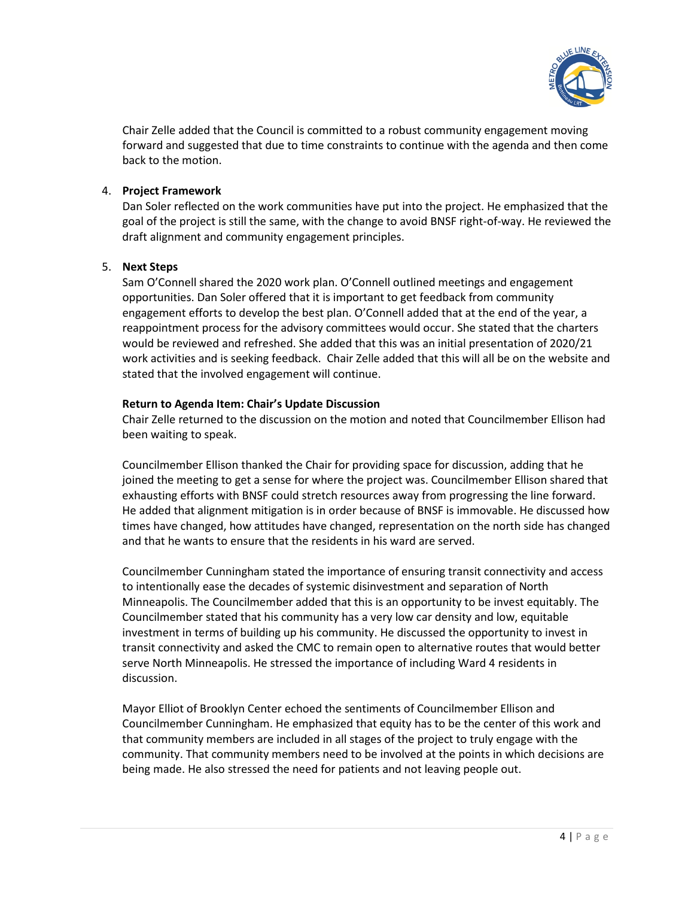

Chair Zelle added that the Council is committed to a robust community engagement moving forward and suggested that due to time constraints to continue with the agenda and then come back to the motion.

## 4. **Project Framework**

Dan Soler reflected on the work communities have put into the project. He emphasized that the goal of the project is still the same, with the change to avoid BNSF right-of-way. He reviewed the draft alignment and community engagement principles.

# 5. **Next Steps**

Sam O'Connell shared the 2020 work plan. O'Connell outlined meetings and engagement opportunities. Dan Soler offered that it is important to get feedback from community engagement efforts to develop the best plan. O'Connell added that at the end of the year, a reappointment process for the advisory committees would occur. She stated that the charters would be reviewed and refreshed. She added that this was an initial presentation of 2020/21 work activities and is seeking feedback. Chair Zelle added that this will all be on the website and stated that the involved engagement will continue.

# **Return to Agenda Item: Chair's Update Discussion**

Chair Zelle returned to the discussion on the motion and noted that Councilmember Ellison had been waiting to speak.

Councilmember Ellison thanked the Chair for providing space for discussion, adding that he joined the meeting to get a sense for where the project was. Councilmember Ellison shared that exhausting efforts with BNSF could stretch resources away from progressing the line forward. He added that alignment mitigation is in order because of BNSF is immovable. He discussed how times have changed, how attitudes have changed, representation on the north side has changed and that he wants to ensure that the residents in his ward are served.

Councilmember Cunningham stated the importance of ensuring transit connectivity and access to intentionally ease the decades of systemic disinvestment and separation of North Minneapolis. The Councilmember added that this is an opportunity to be invest equitably. The Councilmember stated that his community has a very low car density and low, equitable investment in terms of building up his community. He discussed the opportunity to invest in transit connectivity and asked the CMC to remain open to alternative routes that would better serve North Minneapolis. He stressed the importance of including Ward 4 residents in discussion.

Mayor Elliot of Brooklyn Center echoed the sentiments of Councilmember Ellison and Councilmember Cunningham. He emphasized that equity has to be the center of this work and that community members are included in all stages of the project to truly engage with the community. That community members need to be involved at the points in which decisions are being made. He also stressed the need for patients and not leaving people out.